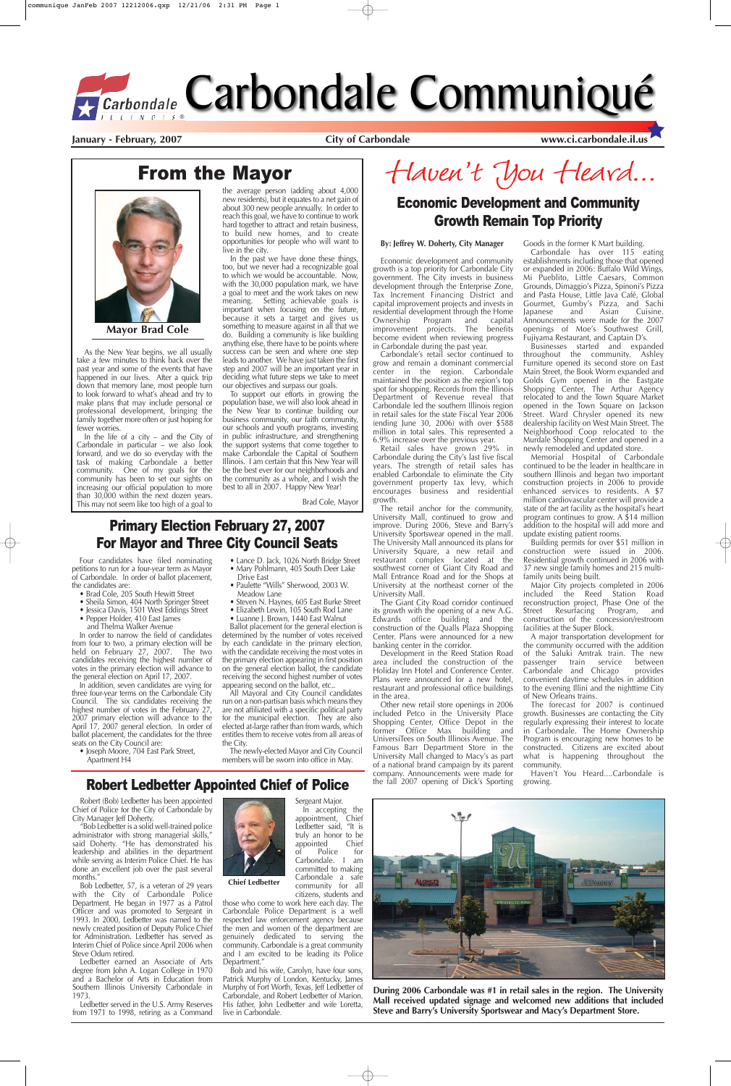# From the Mayor

# Robert Ledbetter Appointed Chief of Police

#### **By: Jeffrey W. Doherty, City Manager**

Economic development and community growth is a top priority for Carbondale City government. The City invests in business development through the Enterprise Zone, Tax Increment Financing District and capital improvement projects and invests in residential development through the Home<br>Ownership Program and capital Ownership Program and capital<br>improvement projects. The benefits improvement projects. become evident when reviewing progress in Carbondale during the past year.

Carbondale's retail sector continued to grow and remain a dominant commercial center in the region. Carbondale maintained the position as the region's top spot for shopping. Records from the Illinois Department of Revenue reveal that Carbondale led the southern Illinois region in retail sales for the state Fiscal Year 2006 (ending June 30, 2006) with over \$588 million in total sales. This represented a 6.9% increase over the previous year.

Retail sales have grown 29% in Carbondale during the City's last five fiscal years. The strength of retail sales has enabled Carbondale to eliminate the City government property tax levy, which encourages business and residential growth.

The retail anchor for the community, University Mall, continued to grow and improve. During 2006, Steve and Barry's University Sportswear opened in the mall. The University Mall announced its plans for University Square, a new retail and restaurant complex located at the southwest corner of Giant City Road and Mall Entrance Road and for the Shops at University at the northeast corner of the University Mall.

The Giant City Road corridor continued its growth with the opening of a new A.G. Edwards office building and the construction of the Qualls Plaza Shopping Center. Plans were announced for a new banking center in the corridor.

Memorial Hospital of Carbondale continued to be the leader in healthcare in southern Illinois and began two important construction projects in 2006 to provide enhanced services to residents. A \$7 million cardiovascular center will provide a state of the art facility as the hospital's heart program continues to grow. A \$14 million addition to the hospital will add more and update existing patient rooms.

Development in the Reed Station Road area included the construction of the Holiday Inn Hotel and Conference Center. Plans were announced for a new hotel, restaurant and professional office buildings in the area.

Other new retail store openings in 2006 included Petco in the University Place Shopping Center, Office Depot in the former Office Max building and UniversiTees on South Illinois Avenue. The Famous Barr Department Store in the University Mall changed to Macy's as part of a national brand campaign by its parent company. Announcements were made for the fall 2007 opening of Dick's Sporting

Goods in the former K Mart building. Carbondale has over 115 eating establishments including those that opened or expanded in 2006: Buffalo Wild Wings, Mi Pueblito, Little Caesars, Common Grounds, Dimaggio's Pizza, Spinoni's Pizza and Pasta House, Little Java Café, Global Gourmet, Gumby's Pizza, and Sachi<br>Japanese and Asian Cuisine. Japanese and Asian Cuisine. Announcements were made for the 2007 openings of Moe's Southwest Grill, Fujiyama Restaurant, and Captain D's.

Businesses started and expanded throughout the community. Ashley Furniture opened its second store on East Main Street, the Book Worm expanded and Golds Gym opened in the Eastgate Shopping Center, The Arthur Agency relocated to and the Town Square Market opened in the Town Square on Jackson Street. Ward Chrysler opened its new dealership facility on West Main Street. The Neighborhood Coop relocated to the Murdale Shopping Center and opened in a newly remodeled and updated store.

"Bob Ledbetter is a solid well-trained police administrator with strong managerial skills," said Doherty. "He has demonstrated his leadership and abilities in the department while serving as Interim Police Chief. He has done an excellent job over the past several months.

Building permits for over \$51 million in construction were issued in 2006. Residential growth continued in 2006 with 37 new single family homes and 215 multifamily units being built.

Major City projects completed in 2006 included the Reed Station Road reconstruction project, Phase One of the Street Resurfacing Program, and construction of the concession/restroom facilities at the Super Block.

A major transportation development for the community occurred with the addition of the Saluki Amtrak train. The new<br>passenger train service between passenger train service between<br>Carbondale and Chicago provides Carbondale and Chicago convenient daytime schedules in addition to the evening Illini and the nighttime City of New Orleans trains.

The forecast for 2007 is continued growth. Businesses are contacting the City regularly expressing their interest to locate in Carbondale. The Home Ownership Program is encouraging new homes to be constructed. Citizens are excited about what is happening throughout the

community.

Haven't You Heard....Carbondale is growing.



In order to narrow the field of candidates from four to two, a primary election will be held on February 27, 2007. The two candidates receiving the highest number of votes in the primary election will advance to the general election on April 17, 2007.

# Economic Development and Community Growth Remain Top Priority

As the New Year begins, we all usually take a few minutes to think back over the past year and some of the events that have happened in our lives. After a quick trip down that memory lane, most people turn to look forward to what's ahead and try to make plans that may include personal or professional development, bringing the family together more often or just hoping for fewer worries.

In the life of a city – and the City of Carbondale in particular – we also look forward, and we do so everyday with the task of making Carbondale a better community. One of my goals for the community has been to set our sights on increasing our official population to more than  $30,000$  within the next dozen years. This may not seem like too high of a goal to

> The newly-elected Mayor and City Council he sworn into office in

Haven't You Heard...

the average person (adding about 4,000 new residents), but it equates to a net gain of about 300 new people annually. In order to reach this goal, we have to continue to work hard together to attract and retain business, to build new homes, and to create opportunities for people who will want to live in the city.

In the past we have done these things, too, but we never had a recognizable goal to which we would be accountable. Now, with the 30,000 population mark, we have a goal to meet and the work takes on new meaning. Setting achievable goals is important when focusing on the future, because it sets a target and gives us something to measure against in all that we do. Building a community is like building anything else, there have to be points where success can be seen and where one step leads to another. We have just taken the first step and 2007 will be an important year in deciding what future steps we take to meet our objectives and surpass our goals.

To support our efforts in growing the population base, we will also look ahead in the New Year to continue building our business community, our faith community, our schools and youth programs, investing in public infrastructure, and strengthening the support systems that come together to make Carbondale the Capital of Southern Illinois. I am certain that this New Year will be the best ever for our neighborhoods and the community as a whole, and I wish the best to all in 2007. Happy New Year!

Brad Cole, Mayor



**Mayor Brad Cole**

Robert (Bob) Ledbetter has been appointed Chief of Police for the City of Carbondale by City Manager Jeff Doherty.

Bob Ledbetter, 57, is a veteran of 29 years with the City of Carbondale Police Department. He began in 1977 as a Patrol Officer and was promoted to Sergeant in 1993. In 2000, Ledbetter was named to the newly created position of Deputy Police Chief for Administration. Ledbetter has served as Interim Chief of Police since April 2006 when Steve Odum retired.

Ledbetter earned an Associate of Arts degree from John A. Logan College in 1970 and a Bachelor of Arts in Education from Southern Illinois University Carbondale in 1973.

Ledbetter served in the U.S. Army Reserves from 1971 to 1998, retiring as a Command



those who come to work here each day. The Carbondale Police Department is a well respected law enforcement agency because the men and women of the department are genuinely dedicated to serving the community. Carbondale is a great community and I am excited to be leading its Police Department."

Bob and his wife, Carolyn, have four sons, Patrick Murphy of London, Kentucky, James Murphy of Fort Worth, Texas, Jeff Ledbetter of Carbondale, and Robert Ledbetter of Marion. His father, John Ledbetter and wife Loretta, live in Carbondale.

**During 2006 Carbondale was #1 in retail sales in the region. The University Mall received updated signage and welcomed new additions that included Steve and Barry's University Sportswear and Macy's Department Store.** 

**Chief Ledbetter**

Four candidates have filed nominating petitions to run for a four-year term as Mayor of Carbondale. In order of ballot placement, the candidates are:

- Brad Cole, 205 South Hewitt Street
- Sheila Simon, 404 North Springer Street
- Jessica Davis, 1501 West Eddings Street
- Pepper Holder, 410 East James
- and Thelma Walker Avenue

In addition, seven candidates are vying for three four-year terms on the Carbondale City Council. The six candidates receiving the highest number of votes in the February 27, 2007 primary election will advance to the April 17, 2007 general election. In order of ballot placement, the candidates for the three seats on the City Council are:

• Joseph Moore, 704 East Park Street,

Apartment H4

- Lance D. Jack, 1026 North Bridge Street • Mary Pohlmann, 405 South Deer Lake
- Drive East • Paulette "Wills" Sherwood, 2003 W.
- Meadow Lane
- Steven N. Haynes, 605 East Burke Street
- Elizabeth Lewin, 105 South Rod Lane • Luanne J. Brown, 1440 East Walnut

Ballot placement for the general election is determined by the number of votes received by each candidate in the primary election, with the candidate receiving the most votes in the primary election appearing in first position on the general election ballot, the candidate receiving the second highest number of votes appearing second on the ballot, etc..

All Mayoral and City Council candidates run on a non-partisan basis which means they are not affiliated with a specific political party for the municipal election. They are also elected at-large rather than from wards, which entitles them to receive votes from all areas of the City.

#### Primary Election February 27, 2007 For Mayor and Three City Council Seats

# *<u>Carbondale</u>* Carbondale Communiqué

**January - February, 2007** City of Carbondale **City of Carbondale www.ci.carbondale.il.us**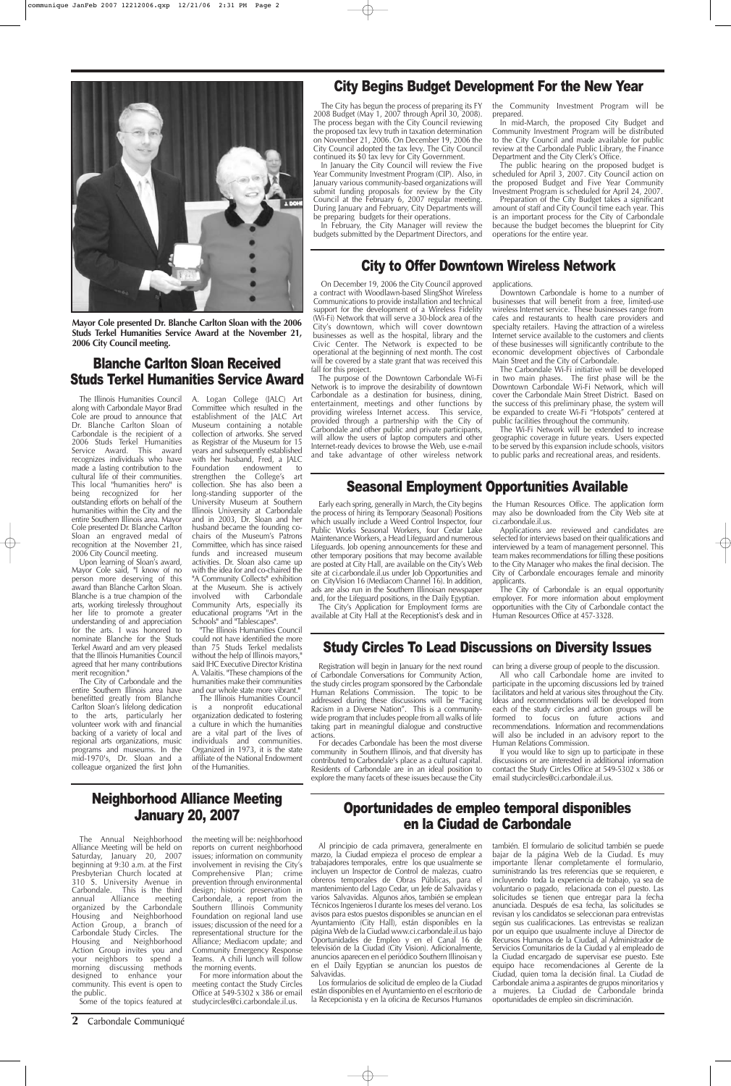#### **2** Carbondale Communiqué

#### Neighborhood Alliance Meeting January 20, 2007

The Annual Neighborhood Alliance Meeting will be held on Saturday, January 20, 2007 beginning at 9:30 a.m. at the First Presbyterian Church located at 310 S. University Avenue in Carbondale. This is the third annual Alliance meeting organized by the Carbondale Housing and Neighborhood Action Group, a branch of Carbondale Study Circles. The Housing and Neighborhood Action Group invites you and your neighbors to spend a morning discussing methods designed to enhance your community. This event is open to the public. Some of the topics featured at

the meeting will be: neighborhood reports on current neighborhood issues; information on community involvement in revising the City's Comprehensive Plan; crime prevention through environmental design; historic preservation in Carbondale, a report from the Southern Illinois Community Foundation on regional land use issues; discussion of the need for a representational structure for the Alliance; Mediacom update; and Community Emergency Response Teams. A chili lunch will follow the morning events.

For more information about the meeting contact the Study Circles Office at 549-5302 x 386 or email studycircles@ci.carbondale.il.us.

On December 19, 2006 the City Council approved a contract with Woodlawn-based SlingShot Wireless Communications to provide installation and technical support for the development of a Wireless Fidelity (Wi-Fi) Network that will serve a 30-block area of the City's downtown, which will cover downtown businesses as well as the hospital, library and the Civic Center. The Network is expected to be operational at the beginning of next month. The cost will be covered by a state grant that was received this fall for this project.

> The Wi-Fi Network will be extended to increase geographic coverage in future years. Users expected to be served by this expansion include schools, visitors to public parks and recreational areas, and residents.

In January the City Council will review the Five Year Community Investment Program (CIP). Also, in January various community-based organizations will submit funding proposals for review by the City Council at the February 6, 2007 regular meeting. During January and February, City Departments will be preparing budgets for their operations.

The purpose of the Downtown Carbondale Wi-Fi Network is to improve the desirability of downtown Carbondale as a destination for business, dining, entertainment, meetings and other functions by providing wireless Internet access. This service, provided through a partnership with the City of Carbondale and other public and private participants, will allow the users of laptop computers and other Internet-ready devices to browse the Web, use e-mail and take advantage of other wireless network

applications.

Downtown Carbondale is home to a number of businesses that will benefit from a free, limited-use wireless Internet service. These businesses range from cafes and restaurants to health care providers and specialty retailers. Having the attraction of a wireless Internet service available to the customers and clients of these businesses will significantly contribute to the economic development objectives of Carbondale Main Street and the City of Carbondale.

The Carbondale Wi-Fi initiative will be developed in two main phases. The first phase will be the Downtown Carbondale Wi-Fi Network, which will cover the Carbondale Main Street District. Based on the success of this preliminary phase, the system will be expanded to create Wi-Fi "Hotspots" centered at public facilities throughout the community.

#### City Begins Budget Development For the New Year

#### City to Offer Downtown Wireless Network

# Oportunidades de empleo temporal disponibles en la Ciudad de Carbondale

The City has begun the process of preparing its FY 2008 Budget (May 1, 2007 through April 30, 2008). The process began with the City Council reviewing the proposed tax levy truth in taxation determination on November 21, 2006. On December 19, 2006 the City Council adopted the tax levy. The City Council continued its \$0 tax levy for City Government.

In February, the City Manager will review the budgets submitted by the Department Directors, and the Community Investment Program will be prepared.

In mid-March, the proposed City Budget and Community Investment Program will be distributed to the City Council and made available for public review at the Carbondale Public Library, the Finance Department and the City Clerk's Office.

The public hearing on the proposed budget is scheduled for April 3, 2007. City Council action on the proposed Budget and Five Year Community Investment Program is scheduled for April 24, 2007.

Preparation of the City Budget takes a significant amount of staff and City Council time each year. This is an important process for the City of Carbondale because the budget becomes the blueprint for City operations for the entire year.

#### Seasonal Employment Opportunities Available

Early each spring, generally in March, the City begins the process of hiring its Temporary (Seasonal) Positions which usually include a Weed Control Inspector, four Public Works Seasonal Workers, four Cedar Lake Maintenance Workers, a Head Lifeguard and numerous Lifeguards. Job opening announcements for these and other temporary positions that may become available are posted at City Hall, are available on the City's Web site at ci.carbondale.il.us under Job Opportunities and on CityVision 16 (Mediacom Channel 16). In addition, ads are also run in the Southern Illinoisan newspaper and, for the Lifeguard positions, in the Daily Egyptian.

The City's Application for Employment forms are available at City Hall at the Receptionist's desk and in the Human Resources Office. The application form may also be downloaded from the City Web site at ci.carbondale.il.us.

Applications are reviewed and candidates are selected for interviews based on their qualifications and interviewed by a team of management personnel. This team makes recommendations for filling these positions to the City Manager who makes the final decision. The City of Carbondale encourages female and minority applicants.

The City of Carbondale is an equal opportunity employer. For more information about employment opportunities with the City of Carbondale contact the Human Resources Office at 457-3328.

Al principio de cada primavera, generalmente en marzo, la Ciudad empieza el proceso de emplear a trabajadores temporales, entre los que usualmente se incluyen un Inspector de Control de malezas, cuatro obreros temporales de Obras Públicas, para el mantenimiento del Lago Cedar, un Jefe de Salvavidas y varios Salvavidas. Algunos años, también se emplean Técnicos Ingenieros I durante los meses del verano. Los avisos para estos puestos disponibles se anuncian en el Ayuntamiento (City Hall), están disponibles en la página Web de la Ciudad www.ci.carbondale.il.us bajo Oportunidades de Empleo y en el Canal 16 de televisión de la Ciudad (City Vision). Adicionalmente, anuncios aparecen en el periódico Southern Illinoisan y en el Daily Egyptian se anuncian los puestos de Salvavidas.

Los formularios de solicitud de empleo de la Ciudad están disponibles en el Ayuntamiento en el escritorio de la Recepcionista y en la oficina de Recursos Humanos también. El formulario de solicitud también se puede bajar de la página Web de la Ciudad. Es muy importante llenar completamente el formulario, suministrando las tres referencias que se requieren, e incluyendo toda la experiencia de trabajo, ya sea de voluntario o pagado, relacionada con el puesto. Las solicitudes se tienen que entregar para la fecha anunciada. Después de esa fecha, las solicitudes se revisan y los candidatos se seleccionan para entrevistas según sus cualificaciones. Las entrevistas se realizan por un equipo que usualmente incluye al Director de Recursos Humanos de la Ciudad, al Administrador de Servicios Comunitarios de la Ciudad y al empleado de la Ciudad encargado de supervisar ese puesto. Este equipo hace recomendaciones al Gerente de la Ciudad, quien toma la decisión final. La Ciudad de Carbondale anima a aspirantes de grupos minoritarios y a mujeres. La Ciudad de Carbondale brinda oportunidades de empleo sin discriminación.

The Illinois Humanities Council along with Carbondale Mayor Brad Cole are proud to announce that Dr. Blanche Carlton Sloan of Carbondale is the recipient of a 2006 Studs Terkel Humanities Service Award. This award recognizes individuals who have made a lasting contribution to the cultural life of their communities. This local "humanities hero" is<br>being recognized for her being recognized outstanding efforts on behalf of the humanities within the City and the entire Southern Illinois area. Mayor Cole presented Dr. Blanche Carlton Sloan an engraved medal of recognition at the November 21, 2006 City Council meeting.

Upon learning of Sloan's award, Mayor Cole said, "I know of no person more deserving of this award than Blanche Carlton Sloan. Blanche is a true champion of the arts, working tirelessly throughout her life to promote a greater understanding of and appreciation for the arts. I was honored to nominate Blanche for the Studs Terkel Award and am very pleased that the Illinois Humanities Council agreed that her many contributions merit recognition."

The City of Carbondale and the entire Southern Illinois area have benefitted greatly from Blanche Carlton Sloan's lifelong dedication to the arts, particularly her volunteer work with and financial backing of a variety of local and regional arts organizations, music programs and museums. In the mid-1970's, Dr. Sloan and a

A. Logan College (JALC) Art Committee which resulted in the establishment of the JALC Art Museum containing a notable collection of artworks. She served as Registrar of the Museum for 15 years and subsequently established with her husband, Fred, a JALC<br>Foundation endowment to endowment to strengthen the College's art collection. She has also been a long-standing supporter of the University Museum at Southern Illinois University at Carbondale and in 2003, Dr. Sloan and her husband became the founding cochairs of the Museum's Patrons Committee, which has since raised funds and increased museum activities. Dr. Sloan also came up with the idea for and co-chaired the "A Community Collects" exhibition at the Museum. She is actively<br>involved with Carbondale involved with Community Arts, especially its educational programs "Art in the Schools" and "Tablescapes".

colleague organized the first John of the Humanities.

"The Illinois Humanities Council could not have identified the more than 75 Studs Terkel medalists without the help of Illinois mayors," said IHC Executive Director Kristina A. Valaitis. "These champions of the humanities make their communities and our whole state more vibrant."

The Illinois Humanities Council is a nonprofit educational organization dedicated to fostering a culture in which the humanities are a vital part of the lives of individuals and communities. Organized in 1973, it is the state affiliate of the National Endowment

### Blanche Carlton Sloan Received Studs Terkel Humanities Service Award



**Mayor Cole presented Dr. Blanche Carlton Sloan with the 2006 Studs Terkel Humanities Service Award at the November 21, 2006 City Council meeting.**

#### Study Circles To Lead Discussions on Diversity Issues

Registration will begin in January for the next round of Carbondale Conversations for Community Action, the study circles program sponsored by the Carbondale Human Relations Commission. The topic to be addressed during these discussions will be "Facing Racism in a Diverse Nation". This is a communitywide program that includes people from all walks of life taking part in meaningful dialogue and constructive actions.

For decades Carbondale has been the most diverse community in Southern Illinois, and that diversity has contributed to Carbondale's place as a cultural capital. can bring a diverse group of people to the discussion.

Residents of Carbondale are in an ideal position to contact the Study Circles Office at 549-5302 x 386 or discussions or are interested in additional information

All who call Carbondale home are invited to participate in the upcoming discussions led by trained facilitators and held at various sites throughout the City. Ideas and recommendations will be developed from each of the study circles and action groups will be formed to focus on future actions and recommendations. Information and recommendations will also be included in an advisory report to the Human Relations Commission.

explore the many facets of these issues because the City email studycircles@ci.carbondale.il.us.

If you would like to sign up to participate in these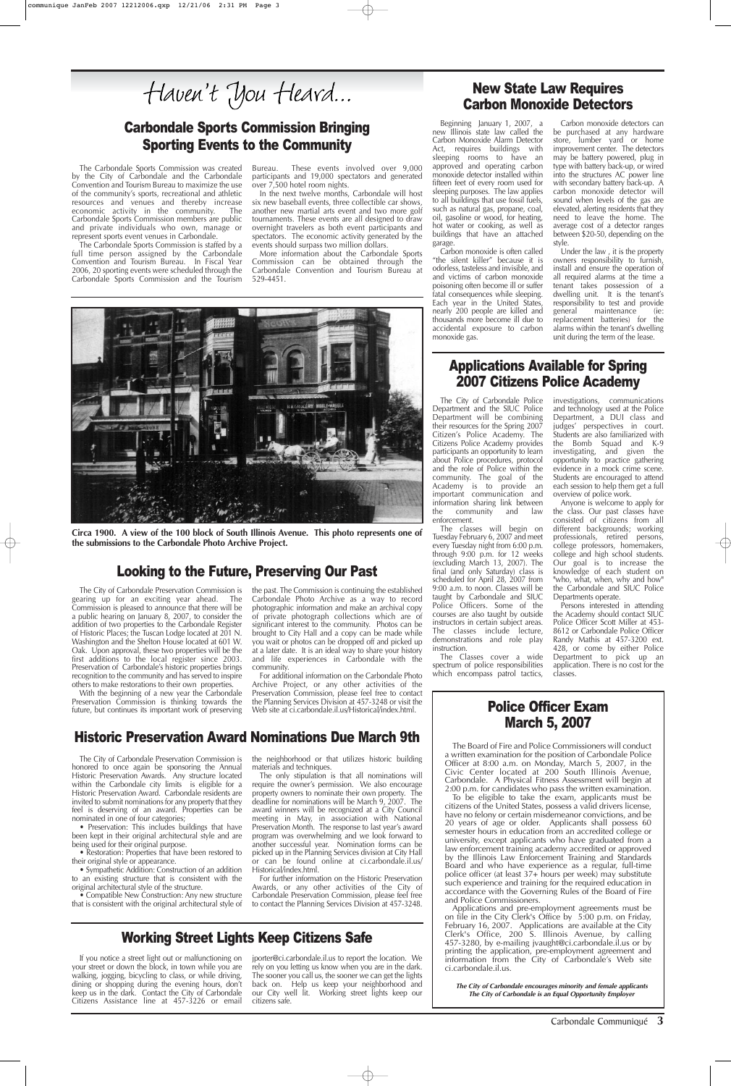If you notice a street light out or malfunctioning on your street or down the block, in town while you are walking, jogging, bicycling to class, or while driving, dining or shopping during the evening hours, don't keep us in the dark. Contact the City of Carbondale Citizens Assistance line at 457-3226 or email

jporter@ci.carbondale.il.us to report the location. We rely on you letting us know when you are in the dark. The sooner you call us, the sooner we can get the lights back on. Help us keep your neighborhood and our City well lit. Working street lights keep our citizens safe.

# Carbondale Sports Commission Bringing Sporting Events to the Community

Working Street Lights Keep Citizens Safe

# Historic Preservation Award Nominations Due March 9th

The City of Carbondale Preservation Commission is the neighborhood or that utilizes historic building

The City of Carbondale Preservation Commission is gearing up for an exciting year ahead. The Commission is pleased to announce that there will be a public hearing on January 8, 2007, to consider the addition of two properties to the Carbondale Register of Historic Places; the Tuscan Lodge located at 201 N. Washington and the Shelton House located at 601 W. Oak. Upon approval, these two properties will be the first additions to the local register since 2003. Preservation of Carbondale's historic properties brings recognition to the community and has served to inspire others to make restorations to their own properties.

• Restoration: Properties that have been restored to their original style or appearance.

With the beginning of a new year the Carbondale Preservation Commission is thinking towards the future, but continues its important work of preserving

• Compatible New Construction: Any new structure that is consistent with the original architectural style of the past. The Commission is continuing the established Carbondale Photo Archive as a way to record photographic information and make an archival copy of private photograph collections which are of significant interest to the community. Photos can be brought to City Hall and a copy can be made while you wait or photos can be dropped off and picked up at a later date. It is an ideal way to share your history and life experiences in Carbondale with the community.

For additional information on the Carbondale Photo Archive Project, or any other activities of the Preservation Commission, please feel free to contact the Planning Services Division at 457-3248 or visit the Web site at ci.carbondale.il.us/Historical/index.html.

honored to once again be sponsoring the Annual Historic Preservation Awards. Any structure located within the Carbondale city limits<sup>'</sup> is eligible for a Historic Preservation Award. Carbondale residents are invited to submit nominations for any property that they feel is deserving of an award. Properties can be nominated in one of four categories;

• Preservation: This includes buildings that have been kept in their original architectural style and are being used for their original purpose.

• Sympathetic Addition: Construction of an addition to an existing structure that is consistent with the original architectural style of the structure.

materials and techniques.

The only stipulation is that all nominations will require the owner's permission. We also encourage property owners to nominate their own property. The deadline for nominations will be March 9, 2007. The award winners will be recognized at a City Council meeting in May, in association with National Preservation Month. The response to last year's award program was overwhelming and we look forward to another successful year. Nomination forms can be picked up in the Planning Services division at City Hall or can be found online at ci.carbondale.il.us/ Historical/index.html.

For further information on the Historic Preservation Awards, or any other activities of the City of Carbondale Preservation Commission, please feel free to contact the Planning Services Division at 457-3248.

#### Police Officer Exam March 5, 2007

The Board of Fire and Police Commissioners will conduct a written examination for the position of Carbondale Police Officer at 8:00 a.m. on Monday, March 5, 2007, in the Civic Center located at 200 South Illinois Avenue, Carbondale. A Physical Fitness Assessment will begin at 2:00 p.m. for candidates who pass the written examination. To be eligible to take the exam, applicants must be citizens of the United States, possess a valid drivers license, have no felony or certain misdemeanor convictions, and be 20 years of age or older. Applicants shall possess 60 semester hours in education from an accredited college or university, except applicants who have graduated from a law enforcement training academy accredited or approved by the Illinois Law Enforcement Training and Standards Board and who have experience as a regular, full-time police officer (at least 37+ hours per week) may substitute such experience and training for the required education in accordance with the Governing Rules of the Board of Fire and Police Commissioners. Applications and pre-employment agreements must be on file in the City Clerk's Office by 5:00 p.m. on Friday, February 16, 2007. Applications are available at the City Clerk's Office, 200 S. Illinois Avenue, by calling 457-3280, by e-mailing jvaught@ci.carbondale.il.us or by printing the application, pre-employment agreement and information from the City of Carbondale's Web site ci.carbondale.il.us.

**The City of Carbondale encourages minority and female applicants The City of Carbondale is an Equal Opportunity Employer**

Carbondale Communiqué **3**

The Carbondale Sports Commission was created by the City of Carbondale and the Carbondale Convention and Tourism Bureau to maximize the use of the community's sports, recreational and athletic resources and venues and thereby increase economic activity in the community. The Carbondale Sports Commission members are public and private individuals who own, manage or represent sports event venues in Carbondale.

The Carbondale Sports Commission is staffed by a full time person assigned by the Carbondale Convention and Tourism Bureau. In Fiscal Year 2006, 20 sporting events were scheduled through the Carbondale Sports Commission and the Tourism Bureau. These events involved over 9,000 participants and 19,000 spectators and generated over 7,500 hotel room nights.

In the next twelve months, Carbondale will host six new baseball events, three collectible car shows, another new martial arts event and two more golf tournaments. These events are all designed to draw overnight travelers as both event participants and spectators. The economic activity generated by the events should surpass two million dollars.

More information about the Carbondale Sports Commission can be obtained through the Carbondale Convention and Tourism Bureau at 529-4451.



**Circa 1900. A view of the 100 block of South Illinois Avenue. This photo represents one of the submissions to the Carbondale Photo Archive Project.** 

#### Applications Available for Spring 2007 Citizens Police Academy

The City of Carbondale Police Department and the SIUC Police Department will be combining their resources for the Spring 2007 Citizen's Police Academy. The Citizens Police Academy provides participants an opportunity to learn about Police procedures, protocol and the role of Police within the community. The goal of the Academy is to provide an important communication and information sharing link between the community and law enforcement.

The classes will begin on Tuesday February 6, 2007 and meet every Tuesday night from 6:00 p.m. through 9:00 p.m. for 12 weeks (excluding March 13, 2007). The final (and only Saturday) class is scheduled for April 28, 2007 from 9:00 a.m. to noon. Classes will be taught by Carbondale and SIUC Police Officers. Some of the courses are also taught by outside instructors in certain subject areas. The classes include lecture, demonstrations and role play instruction.

The Classes cover a wide spectrum of police responsibilities which encompass patrol tactics, investigations, communications and technology used at the Police Department, a DUI class and judges' perspectives in court. Students are also familiarized with the Bomb Squad and K-9 investigating, and given the opportunity to practice gathering evidence in a mock crime scene. Students are encouraged to attend each session to help them get a full overview of police work.

Anyone is welcome to apply for the class. Our past classes have consisted of citizens from all different backgrounds; working professionals, retired persons, college professors, homemakers, college and high school students. Our goal is to increase the knowledge of each student on "who, what, when, why and how" the Carbondale and SIUC Police Departments operate.

Persons interested in attending the Academy should contact SIUC Police Officer Scott Miller at 453- 8612 or Carbondale Police Officer Randy Mathis at 457-3200 ext. 428, or come by either Police Department to pick up an application. There is no cost for the classes.

#### Looking to the Future, Preserving Our Past

#### New State Law Requires Carbon Monoxide Detectors

Beginning January 1, 2007, a new Illinois state law called the Carbon Monoxide Alarm Detector Act, requires buildings with sleeping rooms to have an approved and operating carbon monoxide detector installed within fifteen feet of every room used for sleeping purposes. The law applies to all buildings that use fossil fuels, such as natural gas, propane, coal, oil, gasoline or wood, for heating, hot water or cooking, as well as buildings that have an attached garage.

Carbon monoxide is often called "the silent killer" because it is odorless, tasteless and invisible, and and victims of carbon monoxide poisoning often become ill or suffer fatal consequences while sleeping. Each year in the United States, nearly 200 people are killed and thousands more become ill due to accidental exposure to carbon monoxide gas.

Carbon monoxide detectors can be purchased at any hardware store, lumber yard or home improvement center. The detectors may be battery powered, plug in type with battery back-up, or wired into the structures AC power line with secondary battery back-up. A carbon monoxide detector will sound when levels of the gas are elevated, alerting residents that they need to leave the home. The average cost of a detector ranges between \$20-50, depending on the style.

Under the law , it is the property owners responsibility to furnish, install and ensure the operation of all required alarms at the time a tenant takes possession of a dwelling unit. It is the tenant's responsibility to test and provide general maintenance (ie: replacement batteries) for the alarms within the tenant's dwelling unit during the term of the lease.

Haven't You Heard...